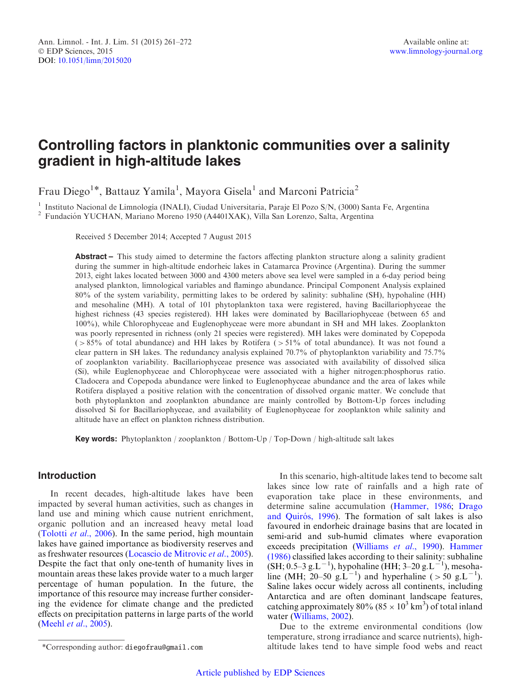# Controlling factors in planktonic communities over a salinity gradient in high-altitude lakes

Frau Diego<sup>1\*</sup>, Battauz Yamila<sup>1</sup>, Mayora Gisela<sup>1</sup> and Marconi Patricia<sup>2</sup>

<sup>1</sup> Instituto Nacional de Limnología (INALI), Ciudad Universitaria, Paraje El Pozo S/N, (3000) Santa Fe, Argentina <sup>2</sup> Fundación YUCHAN, Mariano Moreno 1950 (A4401XAK), Villa San Lorenzo, Salta, Argentina

Received 5 December 2014; Accepted 7 August 2015

Abstract – This study aimed to determine the factors affecting plankton structure along a salinity gradient during the summer in high-altitude endorheic lakes in Catamarca Province (Argentina). During the summer 2013, eight lakes located between 3000 and 4300 meters above sea level were sampled in a 6-day period being analysed plankton, limnological variables and flamingo abundance. Principal Component Analysis explained 80% of the system variability, permitting lakes to be ordered by salinity: subhaline (SH), hypohaline (HH) and mesohaline (MH). A total of 101 phytoplankton taxa were registered, having Bacillariophyceae the highest richness (43 species registered). HH lakes were dominated by Bacillariophyceae (between 65 and 100%), while Chlorophyceae and Euglenophyceae were more abundant in SH and MH lakes. Zooplankton was poorly represented in richness (only 21 species were registered). MH lakes were dominated by Copepoda (>85% of total abundance) and HH lakes by Rotifera (>51% of total abundance). It was not found a clear pattern in SH lakes. The redundancy analysis explained 70.7% of phytoplankton variability and 75.7% of zooplankton variability. Bacillariophyceae presence was associated with availability of dissolved silica (Si), while Euglenophyceae and Chlorophyceae were associated with a higher nitrogen:phosphorus ratio. Cladocera and Copepoda abundance were linked to Euglenophyceae abundance and the area of lakes while Rotifera displayed a positive relation with the concentration of dissolved organic matter. We conclude that both phytoplankton and zooplankton abundance are mainly controlled by Bottom-Up forces including dissolved Si for Bacillariophyceae, and availability of Euglenophyceae for zooplankton while salinity and altitude have an effect on plankton richness distribution.

Key words: Phytoplankton / zooplankton / Bottom-Up / Top-Down / high-altitude salt lakes

# Introduction

In recent decades, high-altitude lakes have been impacted by several human activities, such as changes in land use and mining which cause nutrient enrichment, organic pollution and an increased heavy metal load ([Tolotti](#page-10-0) et al., 2006). In the same period, high mountain lakes have gained importance as biodiversity reserves and as freshwater resources ([Locascio de Mitrovic](#page-10-0) et al., 2005). Despite the fact that only one-tenth of humanity lives in mountain areas these lakes provide water to a much larger percentage of human population. In the future, the importance of this resource may increase further considering the evidence for climate change and the predicted effects on precipitation patterns in large parts of the world (Meehl et al[., 2005\)](#page-10-0).

In this scenario, high-altitude lakes tend to become salt lakes since low rate of rainfalls and a high rate of evaporation take place in these environments, and determine saline accumulation ([Hammer, 1986;](#page-9-0) [Drago](#page-9-0) and Quirós, 1996). The formation of salt lakes is also favoured in endorheic drainage basins that are located in semi-arid and sub-humid climates where evaporation exceeds precipitation [\(Williams](#page-11-0) et al., 1990). [Hammer](#page-9-0) [\(1986\)](#page-9-0) classified lakes according to their salinity: subhaline  $(SH; 0.5-3 g.L^{-1})$ , hypohaline (HH; 3-20 g.L<sup>-1</sup>), mesohaline (MH; 20–50 g.L<sup>-1</sup>) and hyperhaline (> 50 g.L<sup>-1</sup>). Saline lakes occur widely across all continents, including Antarctica and are often dominant landscape features, catching approximately 80% (85  $\times$  10<sup>3</sup> km<sup>3</sup>) of total inland water [\(Williams, 2002](#page-11-0)).

Due to the extreme environmental conditions (low temperature, strong irradiance and scarce nutrients), high- \*Corresponding author: diegofrau@gmail.com altitude lakes tend to have simple food webs and react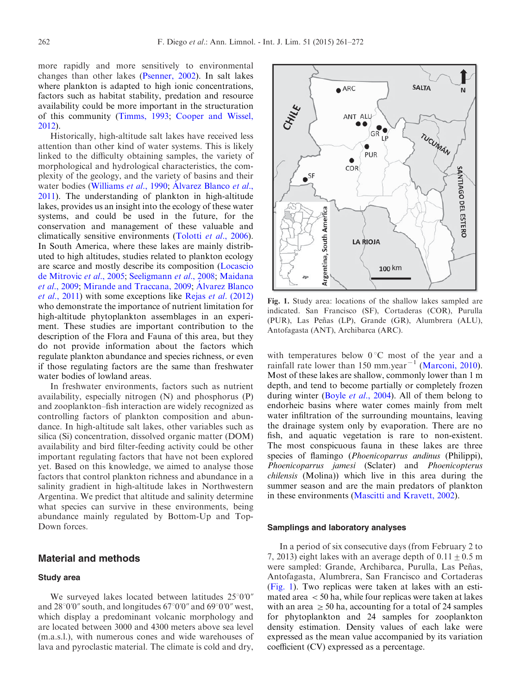more rapidly and more sensitively to environmental changes than other lakes ([Psenner, 2002\)](#page-10-0). In salt lakes where plankton is adapted to high ionic concentrations, factors such as habitat stability, predation and resource availability could be more important in the structuration of this community [\(Timms, 1993](#page-10-0); [Cooper and Wissel,](#page-9-0) [2012](#page-9-0)).

Historically, high-altitude salt lakes have received less attention than other kind of water systems. This is likely linked to the difficulty obtaining samples, the variety of morphological and hydrological characteristics, the complexity of the geology, and the variety of basins and their water bodies [\(Williams](#page-11-0) et al., 1990; Á[lvarez Blanco](#page-9-0) et al., [2011](#page-9-0)). The understanding of plankton in high-altitude lakes, provides us an insight into the ecology of these water systems, and could be used in the future, for the conservation and management of these valuable and climatically sensitive environments (Tolotti et al[., 2006\)](#page-10-0). In South America, where these lakes are mainly distributed to high altitudes, studies related to plankton ecology are scarce and mostly describe its composition ([Locascio](#page-10-0) [de Mitrovic](#page-10-0) et al., 2005; [Seeligmann](#page-10-0) et al., 2008; [Maidana](#page-10-0) et al[., 2009;](#page-10-0) [Mirande and Traccana, 2009;](#page-10-0) Á[lvarez Blanco](#page-9-0) et al[., 2011\)](#page-9-0) with some exceptions like Rejas et al[. \(2012\)](#page-10-0) who demonstrate the importance of nutrient limitation for high-altitude phytoplankton assemblages in an experiment. These studies are important contribution to the description of the Flora and Fauna of this area, but they do not provide information about the factors which regulate plankton abundance and species richness, or even if those regulating factors are the same than freshwater water bodies of lowland areas.

In freshwater environments, factors such as nutrient availability, especially nitrogen (N) and phosphorus (P) and zooplankton–fish interaction are widely recognized as controlling factors of plankton composition and abundance. In high-altitude salt lakes, other variables such as silica (Si) concentration, dissolved organic matter (DOM) availability and bird filter-feeding activity could be other important regulating factors that have not been explored yet. Based on this knowledge, we aimed to analyse those factors that control plankton richness and abundance in a salinity gradient in high-altitude lakes in Northwestern Argentina. We predict that altitude and salinity determine what species can survive in these environments, being abundance mainly regulated by Bottom-Up and Top-Down forces.

# Material and methods

#### Study area

We surveyed lakes located between latitudes  $25^{\circ}0'0''$ and  $28^{\circ}0'0''$  south, and longitudes  $67^{\circ}0'0''$  and  $69^{\circ}0'0''$  west, which display a predominant volcanic morphology and are located between 3000 and 4300 meters above sea level (m.a.s.l.), with numerous cones and wide warehouses of lava and pyroclastic material. The climate is cold and dry,



Fig. 1. Study area: locations of the shallow lakes sampled are indicated. San Francisco (SF), Cortaderas (COR), Purulla (PUR), Las Peñas (LP), Grande (GR), Alumbrera (ALU), Antofagasta (ANT), Archibarca (ARC).

with temperatures below  $0^{\circ}$ C most of the year and a rainfall rate lower than 150 mm.year<sup> $-1$ </sup> ([Marconi, 2010\)](#page-10-0). Most of these lakes are shallow, commonly lower than 1 m depth, and tend to become partially or completely frozen during winter (Boyle *et al.*, 2004). All of them belong to endorheic basins where water comes mainly from melt water infiltration of the surrounding mountains, leaving the drainage system only by evaporation. There are no fish, and aquatic vegetation is rare to non-existent. The most conspicuous fauna in these lakes are three species of flamingo (*Phoenicoparrus andinus* (Philippi), Phoenicoparrus jamesi (Sclater) and Phoenicopterus chilensis (Molina)) which live in this area during the summer season and are the main predators of plankton in these environments [\(Mascitti and Kravett, 2002\)](#page-10-0).

#### Samplings and laboratory analyses

In a period of six consecutive days (from February 2 to 7, 2013) eight lakes with an average depth of  $0.11 \pm 0.5$  m were sampled: Grande, Archibarca, Purulla, Las Peñas, Antofagasta, Alumbrera, San Francisco and Cortaderas (Fig. 1). Two replicas were taken at lakes with an estimated area  $\lt$  50 ha, while four replicas were taken at lakes with an area  $\geq$  50 ha, accounting for a total of 24 samples for phytoplankton and 24 samples for zooplankton density estimation. Density values of each lake were expressed as the mean value accompanied by its variation coefficient (CV) expressed as a percentage.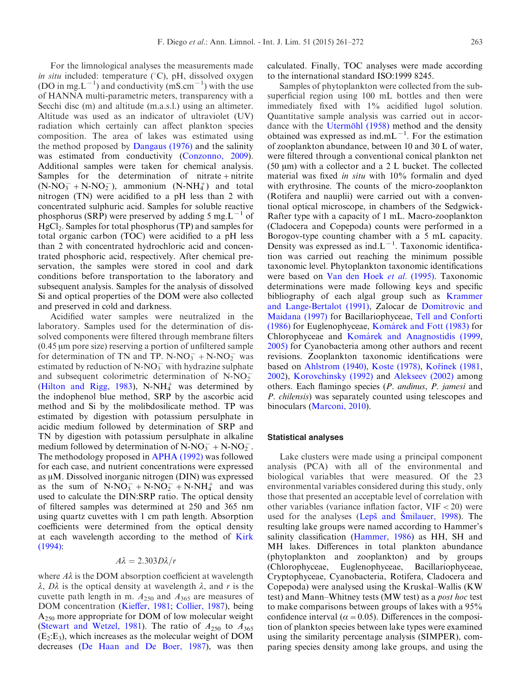For the limnological analyses the measurements made in situ included: temperature  $({}^{\circ}C)$ , pH, dissolved oxygen (DO in mg.L<sup>-1</sup>) and conductivity (mS.cm<sup>-1</sup>) with the use of HANNA multi-parametric meters, transparency with a Secchi disc (m) and altitude (m.a.s.l.) using an altimeter. Altitude was used as an indicator of ultraviolet (UV) radiation which certainly can affect plankton species composition. The area of lakes was estimated using the method proposed by [Dangaus \(1976\)](#page-9-0) and the salinity was estimated from conductivity ([Conzonno, 2009\)](#page-9-0). Additional samples were taken for chemical analysis. Samples for the determination of nitrate + nitrite  $(N-\overline{NO_3^-} + N-NO_2^-)$ , ammonium  $(N-NH_4^+)$  and total nitrogen (TN) were acidified to a pH less than 2 with concentrated sulphuric acid. Samples for soluble reactive phosphorus (SRP) were preserved by adding 5 mg. $L^{-1}$  of HgCl<sub>2</sub>. Samples for total phosphorus (TP) and samples for total organic carbon (TOC) were acidified to a pH less than 2 with concentrated hydrochloric acid and concentrated phosphoric acid, respectively. After chemical preservation, the samples were stored in cool and dark conditions before transportation to the laboratory and subsequent analysis. Samples for the analysis of dissolved Si and optical properties of the DOM were also collected and preserved in cold and darkness.

Acidified water samples were neutralized in the laboratory. Samples used for the determination of dissolved components were filtered through membrane filters  $(0.45 \mu m)$  pore size) reserving a portion of unfiltered sample for determination of TN and TP. N-NO<sub>3</sub><sup>+</sup> + N-NO<sub>2</sub><sup>+</sup> was estimated by reduction of N-NO<sub>3</sub> with hydrazine sulphate and subsequent colorimetric determination of  $N\text{-}NO_2^-$ ([Hilton and Rigg, 1983](#page-9-0)), N-NH $_4^+$  was determined by the indophenol blue method, SRP by the ascorbic acid method and Si by the molibdosilicate method. TP was estimated by digestion with potassium persulphate in acidic medium followed by determination of SRP and TN by digestion with potassium persulphate in alkaline medium followed by determination of  $N\text{-}NO_3^- + N\text{-}NO_2^-$ . The methodology proposed in [APHA \(1992\)](#page-9-0) was followed for each case, and nutrient concentrations were expressed as  $\mu$ M. Dissolved inorganic nitrogen (DIN) was expressed as the sum of  $N-NO_3^- + N-NO_2^- + N-NH_4^+$  and was used to calculate the DIN:SRP ratio. The optical density of filtered samples was determined at 250 and 365 nm using quartz cuvettes with 1 cm path length. Absorption coefficients were determined from the optical density at each wavelength according to the method of [Kirk](#page-10-0) [\(1994\)](#page-10-0):

# $A\lambda = 2.303D\lambda/r$

where  $A\lambda$  is the DOM absorption coefficient at wavelength  $\lambda$ ,  $D\lambda$  is the optical density at wavelength  $\lambda$ , and r is the cuvette path length in m.  $A_{250}$  and  $A_{365}$  are measures of DOM concentration ([Kieffer, 1981;](#page-10-0) [Collier, 1987\)](#page-9-0), being A250 more appropriate for DOM of low molecular weight ([Stewart and Wetzel, 1981](#page-10-0)). The ratio of  $A_{250}$  to  $A_{365}$  $(E_2:E_3)$ , which increases as the molecular weight of DOM decreases [\(De Haan and De Boer, 1987](#page-9-0)), was then calculated. Finally, TOC analyses were made according to the international standard ISO:1999 8245.

Samples of phytoplankton were collected from the subsuperficial region using 100 mL bottles and then were immediately fixed with 1% acidified lugol solution. Quantitative sample analysis was carried out in accordance with the Utermöhl  $(1958)$  method and the density obtained was expressed as ind.mL $^{-1}$ . For the estimation of zooplankton abundance, between 10 and 30 L of water, were filtered through a conventional conical plankton net (50 mm) with a collector and a 2 L bucket. The collected material was fixed in situ with 10% formalin and dyed with erythrosine. The counts of the micro-zooplankton (Rotifera and nauplii) were carried out with a conventional optical microscope, in chambers of the Sedgwick-Rafter type with a capacity of 1 mL. Macro-zooplankton (Cladocera and Copepoda) counts were performed in a Borogov-type counting chamber with a 5 mL capacity. Density was expressed as  $ind.L^{-1}$ . Taxonomic identification was carried out reaching the minimum possible taxonomic level. Phytoplankton taxonomic identifications were based on [Van den Hoek](#page-11-0) et al. (1995). Taxonomic determinations were made following keys and specific bibliography of each algal group such as [Krammer](#page-10-0) [and Lange-Bertalot \(1991\)](#page-10-0), Zalocar de [Domitrovic and](#page-11-0) [Maidana \(1997\)](#page-11-0) for Bacillariophyceae, [Tell and Conforti](#page-10-0) [\(1986\)](#page-10-0) for Euglenophyceae, [Koma´rek and Fott \(1983\)](#page-10-0) for Chlorophyceae and Komárek and Anagnostidis (1999, [2005\)](#page-10-0) for Cyanobacteria among other authors and recent revisions. Zooplankton taxonomic identifications were based on [Ahlstrom \(1940\),](#page-9-0) [Koste \(1978\)](#page-10-0), Kořínek (1981, [2002\)](#page-10-0), [Korovchinsky \(1992\)](#page-10-0) and [Alekseev \(2002\)](#page-9-0) among others. Each flamingo species (P. andinus, P. jamesi and P. chilensis) was separately counted using telescopes and binoculars [\(Marconi, 2010](#page-10-0)).

### Statistical analyses

Lake clusters were made using a principal component analysis (PCA) with all of the environmental and biological variables that were measured. Of the 23 environmental variables considered during this study, only those that presented an acceptable level of correlation with other variables (variance inflation factor,  $VIF < 20$ ) were used for the analyses (Lepš and Smilauer, 1998). The resulting lake groups were named according to Hammer's salinity classification [\(Hammer, 1986\)](#page-9-0) as HH, SH and MH lakes. Differences in total plankton abundance (phytoplankton and zooplankton) and by groups (Chlorophyceae, Euglenophyceae, Bacillariophyceae, Cryptophyceae, Cyanobacteria, Rotifera, Cladocera and Copepoda) were analysed using the Kruskal–Wallis (KW test) and Mann–Whitney tests (MW test) as a post hoc test to make comparisons between groups of lakes with a 95% confidence interval ( $\alpha$  = 0.05). Differences in the composition of plankton species between lake types were examined using the similarity percentage analysis (SIMPER), comparing species density among lake groups, and using the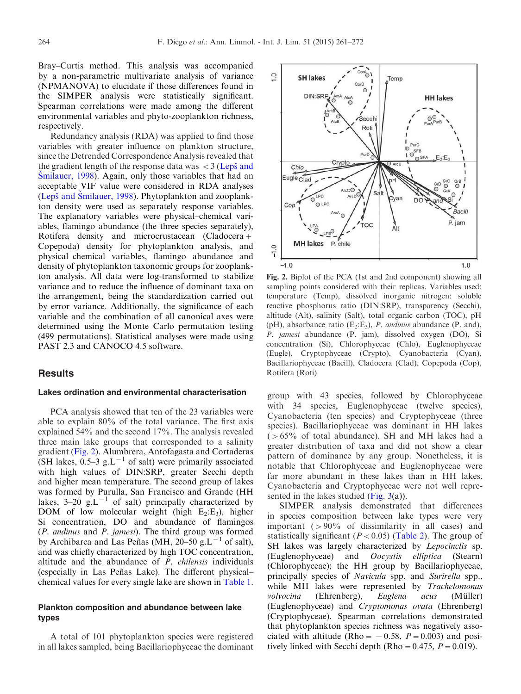<span id="page-3-0"></span>Bray–Curtis method. This analysis was accompanied by a non-parametric multivariate analysis of variance (NPMANOVA) to elucidate if those differences found in the SIMPER analysis were statistically significant. Spearman correlations were made among the different environmental variables and phyto-zooplankton richness, respectively.

Redundancy analysis (RDA) was applied to find those variables with greater influence on plankton structure, since the Detrended Correspondence Analysis revealed that the gradient length of the response data was  $\langle 3 \rangle$  (Leps<sup>s</sup> and Smilauer, 1998). Again, only those variables that had an acceptable VIF value were considered in RDA analyses (Lepš and Smilauer, 1998). Phytoplankton and zooplankton density were used as separately response variables. The explanatory variables were physical–chemical variables, flamingo abundance (the three species separately), Rotifera density and microcrustacean (Cladocera+ Copepoda) density for phytoplankton analysis, and physical–chemical variables, flamingo abundance and density of phytoplankton taxonomic groups for zooplankton analysis. All data were log-transformed to stabilize variance and to reduce the influence of dominant taxa on the arrangement, being the standardization carried out by error variance. Additionally, the significance of each variable and the combination of all canonical axes were determined using the Monte Carlo permutation testing (499 permutations). Statistical analyses were made using PAST 2.3 and CANOCO 4.5 software.

# **Results**

#### Lakes ordination and environmental characterisation

PCA analysis showed that ten of the 23 variables were able to explain 80% of the total variance. The first axis explained 54% and the second 17%. The analysis revealed three main lake groups that corresponded to a salinity gradient (Fig. 2). Alumbrera, Antofagasta and Cortaderas (SH lakes,  $0.5-3$  g.L<sup>-1</sup> of salt) were primarily associated with high values of DIN:SRP, greater Secchi depth and higher mean temperature. The second group of lakes was formed by Purulla, San Francisco and Grande (HH lakes, 3–20 g.L<sup> $-1$ </sup> of salt) principally characterized by DOM of low molecular weight (high  $E_2$ : $E_3$ ), higher Si concentration, DO and abundance of flamingos (P. andinus and P. jamesi). The third group was formed by Archibarca and Las Peñas (MH, 20–50 g.L<sup>-1</sup> of salt), and was chiefly characterized by high TOC concentration, altitude and the abundance of P. chilensis individuals (especially in Las Peñas Lake). The different physicalchemical values for every single lake are shown in [Table 1.](#page-4-0)

## Plankton composition and abundance between lake types

A total of 101 phytoplankton species were registered in all lakes sampled, being Bacillariophyceae the dominant



Fig. 2. Biplot of the PCA (1st and 2nd component) showing all sampling points considered with their replicas. Variables used: temperature (Temp), dissolved inorganic nitrogen: soluble reactive phosphorus ratio (DIN:SRP), transparency (Secchi), altitude (Alt), salinity (Salt), total organic carbon (TOC), pH (pH), absorbance ratio ( $E_2$ : $E_3$ ), *P. andinus* abundance (P. and), P. jamesi abundance (P. jam), dissolved oxygen (DO), Si concentration (Si), Chlorophyceae (Chlo), Euglenophyceae (Eugle), Cryptophyceae (Crypto), Cyanobacteria (Cyan), Bacillariophyceae (Bacill), Cladocera (Clad), Copepoda (Cop), Rotifera (Roti).

group with 43 species, followed by Chlorophyceae with 34 species, Euglenophyceae (twelve species), Cyanobacteria (ten species) and Cryptophyceae (three species). Bacillariophyceae was dominant in HH lakes  $(>65\%$  of total abundance). SH and MH lakes had a greater distribution of taxa and did not show a clear pattern of dominance by any group. Nonetheless, it is notable that Chlorophyceae and Euglenophyceae were far more abundant in these lakes than in HH lakes. Cyanobacteria and Cryptophyceae were not well represented in the lakes studied  $(Fig. 3(a))$  $(Fig. 3(a))$ .

SIMPER analysis demonstrated that differences in species composition between lake types were very important  $(>90\%$  of dissimilarity in all cases) and statistically significant ( $P < 0.05$ ) [\(Table 2\)](#page-5-0). The group of SH lakes was largely characterized by Lepocinclis sp. (Euglenophyceae) and Oocystis elliptica (Stearn) (Chlorophyceae); the HH group by Bacillariophyceae, principally species of Navicula spp. and Surirella spp., while MH lakes were represented by Trachelomonas volvocina (Ehrenberg), Euglena acus (Müller) (Euglenophyceae) and Cryptomonas ovata (Ehrenberg) (Cryptophyceae). Spearman correlations demonstrated that phytoplankton species richness was negatively associated with altitude (Rho =  $-0.58$ ,  $P = 0.003$ ) and positively linked with Secchi depth (Rho =  $0.475$ ,  $P = 0.019$ ).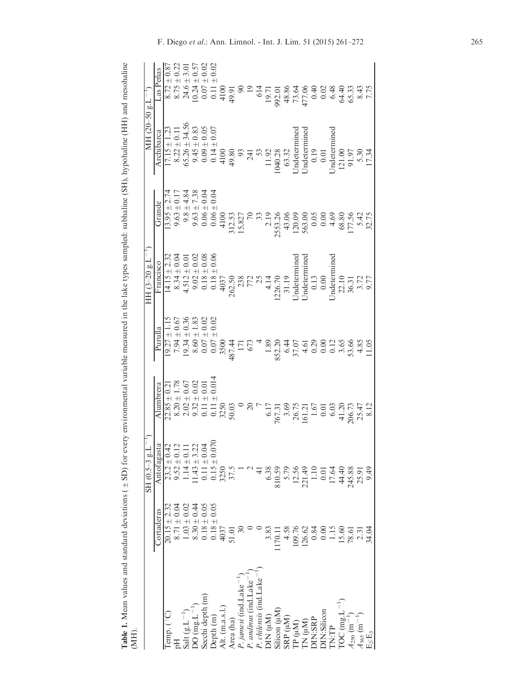<span id="page-4-0"></span>

| l                        |             |
|--------------------------|-------------|
| ׇ֚֘                      |             |
|                          |             |
|                          |             |
| ֧֦֦֚֚֞֝֬֝֝֬֝             |             |
| l                        |             |
| į                        |             |
|                          |             |
|                          |             |
|                          |             |
|                          |             |
|                          |             |
|                          |             |
|                          |             |
|                          |             |
|                          |             |
|                          |             |
|                          |             |
|                          |             |
|                          |             |
|                          |             |
|                          |             |
| $\sim$ 2010/07/2012      |             |
|                          |             |
|                          |             |
|                          |             |
|                          |             |
| $\overline{\phantom{a}}$ |             |
| こうこう<br>į<br>1<br>i      |             |
|                          |             |
|                          |             |
| Į<br>I                   |             |
|                          |             |
|                          |             |
|                          |             |
| ;                        |             |
|                          |             |
| ----------               |             |
|                          |             |
| ・てくらく てくらく てくら           |             |
| u nun can c              |             |
|                          |             |
|                          |             |
|                          |             |
|                          | Ì<br>í<br>֠ |
| .<br>E                   |             |

| $\vdots$                                                                                                                    |                                                                                                                  | $(1 - 1^3)$<br>SH (0.5-3)                                                                                                                                                                                                  |                                                                                                                                                                                                                                      |                  | HH $(3-20 \text{ g.L}^{-1})$                                                                                                                                                                                                                                          |                                                                                                                                                                                                                                                                                                | MH (20-50 g.L <sup>-</sup>                                                                                                                                                                                                                                                |                                                                                                                                                                                                                                                                             |
|-----------------------------------------------------------------------------------------------------------------------------|------------------------------------------------------------------------------------------------------------------|----------------------------------------------------------------------------------------------------------------------------------------------------------------------------------------------------------------------------|--------------------------------------------------------------------------------------------------------------------------------------------------------------------------------------------------------------------------------------|------------------|-----------------------------------------------------------------------------------------------------------------------------------------------------------------------------------------------------------------------------------------------------------------------|------------------------------------------------------------------------------------------------------------------------------------------------------------------------------------------------------------------------------------------------------------------------------------------------|---------------------------------------------------------------------------------------------------------------------------------------------------------------------------------------------------------------------------------------------------------------------------|-----------------------------------------------------------------------------------------------------------------------------------------------------------------------------------------------------------------------------------------------------------------------------|
|                                                                                                                             | Cortaderas                                                                                                       |                                                                                                                                                                                                                            | Alumbrera                                                                                                                                                                                                                            | Purulla          | Francisco                                                                                                                                                                                                                                                             | Grande                                                                                                                                                                                                                                                                                         | Archibarca                                                                                                                                                                                                                                                                | Las Peñas                                                                                                                                                                                                                                                                   |
| Temp. (°C)                                                                                                                  | $20.15 \pm 2.32$                                                                                                 | $\begin{array}{l} \hbox{Antofagasta} \\ \hline 23.2 \pm 0.42 \\ 9.52 \pm 0.12 \\ 9.52 \pm 0.11 \\ 1.14 \pm 0.11 \\ 11.43 \pm 3.22 \\ 0.11 \pm 0.04 \\ 0.15 \pm 0.07 \\ 3250 \\ 37.5 \\ 37.5 \\ 37.5 \\ \hline \end{array}$ | $22.85 \pm 0.21$                                                                                                                                                                                                                     | $19.27 \pm 1.15$ |                                                                                                                                                                                                                                                                       |                                                                                                                                                                                                                                                                                                |                                                                                                                                                                                                                                                                           |                                                                                                                                                                                                                                                                             |
| H                                                                                                                           | $8.71 \pm 0.04$                                                                                                  |                                                                                                                                                                                                                            |                                                                                                                                                                                                                                      |                  |                                                                                                                                                                                                                                                                       |                                                                                                                                                                                                                                                                                                |                                                                                                                                                                                                                                                                           |                                                                                                                                                                                                                                                                             |
|                                                                                                                             | $1.03 \pm 0.02$                                                                                                  |                                                                                                                                                                                                                            |                                                                                                                                                                                                                                      |                  |                                                                                                                                                                                                                                                                       |                                                                                                                                                                                                                                                                                                |                                                                                                                                                                                                                                                                           |                                                                                                                                                                                                                                                                             |
|                                                                                                                             |                                                                                                                  |                                                                                                                                                                                                                            |                                                                                                                                                                                                                                      |                  |                                                                                                                                                                                                                                                                       |                                                                                                                                                                                                                                                                                                |                                                                                                                                                                                                                                                                           |                                                                                                                                                                                                                                                                             |
| Salt $(g.L^{-1})$<br>DO (mg.L <sup>-1</sup> )<br>Secchi depth (m)<br>Depth (m)<br>Alt. (m.a.s.l.)<br>Area (ha)              | $\begin{array}{c} 8.30 \pm 0.44 \\ 0.18 \pm 0.05 \\ 0.18 \pm 0.05 \\ 0.18 \pm 0.05 \\ 4037 \\ 51.01 \end{array}$ |                                                                                                                                                                                                                            | $8.20 \pm 1.78$ $2.02 \pm 0.67$ $0.11 \pm 0.01$ $3.250$ $0.03$ $0.03$ $0.03$ $0.03$ $0.03$ $0.03$ $0.03$ $0.03$ $0.03$ $0.03$ $0.03$ $0.03$ $0.03$ $0.03$ $0.03$ $0.03$ $0.03$ $0.03$ $0.03$ $0.03$ $0.03$ $0.03$ $0.03$ $0.03$ $0.$ |                  | 14.15 $\pm$ 2.32<br>8.34 $\pm$ 0.04<br>8.34 $\pm$ 0.01<br>9.02 $\pm$ 0.03<br>9.03 $\pm$ 0.06<br>0.18 $\pm$ 0.06<br>262.50<br>263.50<br>772<br>25.70<br>1226.70<br>Undetermined<br>Undetermined<br>Undetermined<br>Undetermined<br>Undetermined<br>Undetermined<br>Und | $\begin{array}{r} 13.95 + 7.74 \\ 17.7 \\ 9.63 \pm 7.38 \\ 9.63 \pm 7.38 \\ 9.63 \pm 7.38 \\ 9.63 \pm 0.04 \\ 9.63 \pm 0.04 \\ 9.63 \pm 0.04 \\ 9.63 \pm 0.04 \\ 13.13.53 \\ 15.827 \\ 13.533.26 \\ 23.533.26 \\ 34.300 \\ 25.83.0 \\ 26.300 \\ 27.533.26 \\ 28.88 \\ 29.88 \\ 20.00 \\ 26.88$ | 17.15 $\pm$ 1.23<br>8.22 $\pm$ 0.11<br>8.23 $\pm$ 0.13<br>6.545 $\pm$ 0.83<br>9.45 $\pm$ 0.05<br>9.9 $\pm$ 0.05<br>4100<br>4100<br>4100<br>4100<br>4100<br>4104028<br>11.92<br>1040.28<br>1040.28<br>Undetermined<br>Undetermined<br>Undetermined<br>Undetermined<br>Unde | $\begin{array}{l} 87\\ 811\\ 824\\ 831\\ 844\\ 1231\\ 854\\ 1245\\ 1256\\ 1256\\ 1256\\ 1256\\ 1256\\ 1256\\ 1256\\ 1256\\ 1256\\ 1256\\ 1256\\ 1256\\ 1256\\ 1256\\ 1256\\ 1256\\ 1256\\ 1256\\ 1256\\ 1256\\ 1256\\ 1256\\ 1256\\ 1256\\ 1256\\ 1256\\ 1256\\ 1256\\ 125$ |
|                                                                                                                             |                                                                                                                  |                                                                                                                                                                                                                            |                                                                                                                                                                                                                                      |                  |                                                                                                                                                                                                                                                                       |                                                                                                                                                                                                                                                                                                |                                                                                                                                                                                                                                                                           |                                                                                                                                                                                                                                                                             |
|                                                                                                                             |                                                                                                                  |                                                                                                                                                                                                                            |                                                                                                                                                                                                                                      |                  |                                                                                                                                                                                                                                                                       |                                                                                                                                                                                                                                                                                                |                                                                                                                                                                                                                                                                           |                                                                                                                                                                                                                                                                             |
|                                                                                                                             |                                                                                                                  |                                                                                                                                                                                                                            |                                                                                                                                                                                                                                      |                  |                                                                                                                                                                                                                                                                       |                                                                                                                                                                                                                                                                                                |                                                                                                                                                                                                                                                                           |                                                                                                                                                                                                                                                                             |
|                                                                                                                             |                                                                                                                  |                                                                                                                                                                                                                            |                                                                                                                                                                                                                                      |                  |                                                                                                                                                                                                                                                                       |                                                                                                                                                                                                                                                                                                |                                                                                                                                                                                                                                                                           |                                                                                                                                                                                                                                                                             |
| <i>P. jamesi</i> (ind. Lake <sup>-1</sup> )<br><i>P. andinus</i> (ind. Lake <sup>-1</sup> )                                 |                                                                                                                  |                                                                                                                                                                                                                            |                                                                                                                                                                                                                                      |                  |                                                                                                                                                                                                                                                                       |                                                                                                                                                                                                                                                                                                |                                                                                                                                                                                                                                                                           |                                                                                                                                                                                                                                                                             |
| P. chilensis (ind.Lake <sup>-1</sup>                                                                                        |                                                                                                                  |                                                                                                                                                                                                                            |                                                                                                                                                                                                                                      |                  |                                                                                                                                                                                                                                                                       |                                                                                                                                                                                                                                                                                                |                                                                                                                                                                                                                                                                           |                                                                                                                                                                                                                                                                             |
| (Mn) NIC                                                                                                                    | 3.83                                                                                                             | 6.38                                                                                                                                                                                                                       |                                                                                                                                                                                                                                      |                  |                                                                                                                                                                                                                                                                       |                                                                                                                                                                                                                                                                                                |                                                                                                                                                                                                                                                                           |                                                                                                                                                                                                                                                                             |
| Silicon (µM)                                                                                                                | 170.11                                                                                                           | 810.59                                                                                                                                                                                                                     |                                                                                                                                                                                                                                      |                  |                                                                                                                                                                                                                                                                       |                                                                                                                                                                                                                                                                                                |                                                                                                                                                                                                                                                                           |                                                                                                                                                                                                                                                                             |
|                                                                                                                             | 4.58                                                                                                             |                                                                                                                                                                                                                            |                                                                                                                                                                                                                                      |                  |                                                                                                                                                                                                                                                                       |                                                                                                                                                                                                                                                                                                |                                                                                                                                                                                                                                                                           |                                                                                                                                                                                                                                                                             |
|                                                                                                                             | 109.76                                                                                                           |                                                                                                                                                                                                                            |                                                                                                                                                                                                                                      |                  |                                                                                                                                                                                                                                                                       |                                                                                                                                                                                                                                                                                                |                                                                                                                                                                                                                                                                           |                                                                                                                                                                                                                                                                             |
| $\begin{array}{l} \text{SRP (}\mu\text{M)}\\ \text{TP (}\mu\text{M)}\\ \text{TN (}\mu\text{M)}\\ \text{DN:SRP} \end{array}$ | 126.62                                                                                                           | $\begin{array}{r} 5.79 \\ 12.56 \\ 221.49 \\ 1.10 \end{array}$                                                                                                                                                             |                                                                                                                                                                                                                                      |                  |                                                                                                                                                                                                                                                                       |                                                                                                                                                                                                                                                                                                |                                                                                                                                                                                                                                                                           |                                                                                                                                                                                                                                                                             |
|                                                                                                                             | 0.84                                                                                                             |                                                                                                                                                                                                                            |                                                                                                                                                                                                                                      |                  |                                                                                                                                                                                                                                                                       |                                                                                                                                                                                                                                                                                                |                                                                                                                                                                                                                                                                           |                                                                                                                                                                                                                                                                             |
| DIN:Silicon                                                                                                                 | $\overline{0}$ .                                                                                                 | 0.01                                                                                                                                                                                                                       |                                                                                                                                                                                                                                      |                  |                                                                                                                                                                                                                                                                       |                                                                                                                                                                                                                                                                                                |                                                                                                                                                                                                                                                                           |                                                                                                                                                                                                                                                                             |
| TN:TP                                                                                                                       | 1.15                                                                                                             |                                                                                                                                                                                                                            |                                                                                                                                                                                                                                      |                  |                                                                                                                                                                                                                                                                       |                                                                                                                                                                                                                                                                                                |                                                                                                                                                                                                                                                                           |                                                                                                                                                                                                                                                                             |
|                                                                                                                             |                                                                                                                  | 17.64<br>44.40                                                                                                                                                                                                             |                                                                                                                                                                                                                                      |                  |                                                                                                                                                                                                                                                                       |                                                                                                                                                                                                                                                                                                |                                                                                                                                                                                                                                                                           |                                                                                                                                                                                                                                                                             |
| TOC (mg, L <sup>-1</sup> )<br>$A_{250}$ (m <sup>-1</sup> )                                                                  |                                                                                                                  | 245.88                                                                                                                                                                                                                     |                                                                                                                                                                                                                                      |                  |                                                                                                                                                                                                                                                                       |                                                                                                                                                                                                                                                                                                |                                                                                                                                                                                                                                                                           |                                                                                                                                                                                                                                                                             |
| $A_{365}$ (m <sup>-1</sup> )<br>E <sub>2</sub> :E <sub>3</sub>                                                              | $\begin{array}{c} 15.60 \\ 78.51 \\ 2.31 \\ 34.04 \end{array}$                                                   |                                                                                                                                                                                                                            |                                                                                                                                                                                                                                      |                  |                                                                                                                                                                                                                                                                       |                                                                                                                                                                                                                                                                                                |                                                                                                                                                                                                                                                                           |                                                                                                                                                                                                                                                                             |
|                                                                                                                             |                                                                                                                  | 9.49                                                                                                                                                                                                                       |                                                                                                                                                                                                                                      |                  |                                                                                                                                                                                                                                                                       |                                                                                                                                                                                                                                                                                                |                                                                                                                                                                                                                                                                           |                                                                                                                                                                                                                                                                             |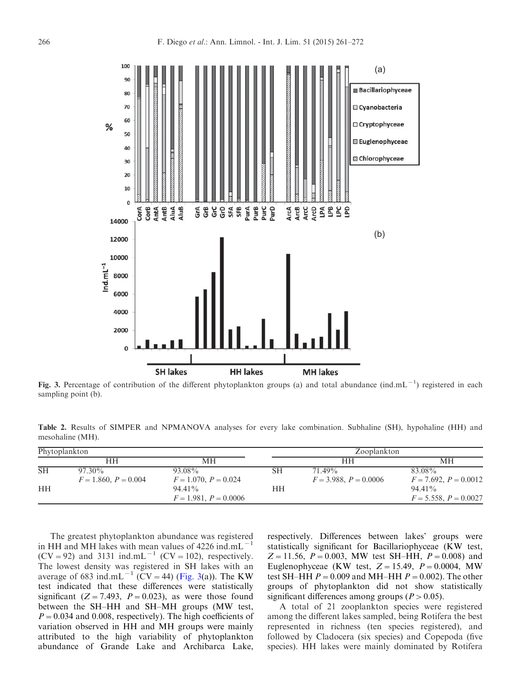<span id="page-5-0"></span>

Fig. 3. Percentage of contribution of the different phytoplankton groups (a) and total abundance (ind.mL<sup>-1</sup>) registered in each sampling point (b).

Table 2. Results of SIMPER and NPMANOVA analyses for every lake combination. Subhaline (SH), hypohaline (HH) and mesohaline (MH).

| Phytoplankton |                                     |                                      |    | Zooplankton                       |                                      |  |
|---------------|-------------------------------------|--------------------------------------|----|-----------------------------------|--------------------------------------|--|
|               | HН                                  | MН                                   |    | HН                                | MН                                   |  |
| <b>SH</b>     | $97.30\%$<br>$F = 1.860, P = 0.004$ | 93.08%<br>$F = 1.070, P = 0.024$     | SН | 71.49%<br>$F = 3.988, P = 0.0006$ | 83.08%<br>$F = 7.692, P = 0.0012$    |  |
| <b>HH</b>     |                                     | $94.41\%$<br>$F = 1.981, P = 0.0006$ | HН |                                   | $94.41\%$<br>$F = 5.558, P = 0.0027$ |  |

The greatest phytoplankton abundance was registered in HH and MH lakes with mean values of  $4226$  ind.mL<sup>-</sup>  $(CV = 92)$  and 3131 ind.mL<sup>-1</sup>  $(CV = 102)$ , respectively. The lowest density was registered in SH lakes with an average of 683 ind.mL<sup>-1</sup> (CV = 44) (Fig. 3(a)). The KW test indicated that these differences were statistically significant ( $Z = 7.493$ ,  $P = 0.023$ ), as were those found between the SH–HH and SH–MH groups (MW test,  $P=0.034$  and 0.008, respectively). The high coefficients of variation observed in HH and MH groups were mainly attributed to the high variability of phytoplankton abundance of Grande Lake and Archibarca Lake,

respectively. Differences between lakes' groups were statistically significant for Bacillariophyceae (KW test,  $Z=11.56$ ,  $P=0.003$ , MW test SH-HH,  $P=0.008$ ) and Euglenophyceae (KW test,  $Z = 15.49$ ,  $P = 0.0004$ , MW test SH–HH  $P = 0.009$  and MH–HH  $P = 0.002$ ). The other groups of phytoplankton did not show statistically significant differences among groups ( $P > 0.05$ ).

A total of 21 zooplankton species were registered among the different lakes sampled, being Rotifera the best represented in richness (ten species registered), and followed by Cladocera (six species) and Copepoda (five species). HH lakes were mainly dominated by Rotifera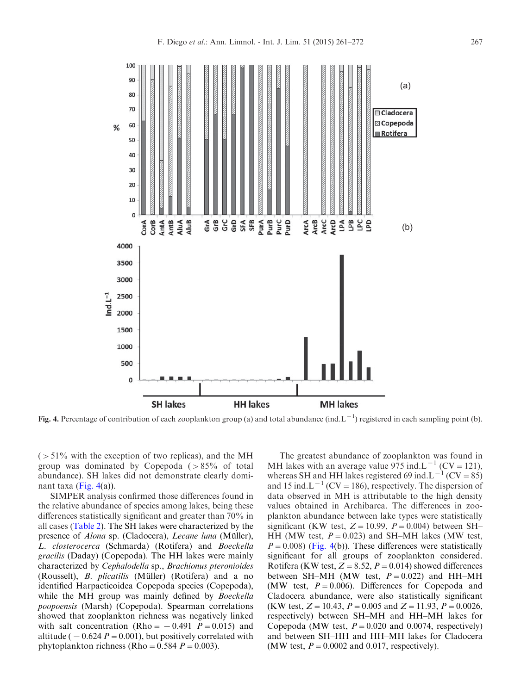

Fig. 4. Percentage of contribution of each zooplankton group (a) and total abundance (ind. L<sup>-1</sup>) registered in each sampling point (b).

 $(51\%$  with the exception of two replicas), and the MH group was dominated by Copepoda  $(>85\%$  of total abundance). SH lakes did not demonstrate clearly dominant taxa (Fig. 4(a)).

SIMPER analysis confirmed those differences found in the relative abundance of species among lakes, being these differences statistically significant and greater than 70% in all cases ([Table 2](#page-5-0)). The SH lakes were characterized by the presence of *Alona* sp. (Cladocera), *Lecane luna* (Müller), L. closterocerca (Schmarda) (Rotifera) and Boeckella gracilis (Daday) (Copepoda). The HH lakes were mainly characterized by Cephalodella sp., Brachionus pteronioides (Rousselt),  $B.$  *plicatilis* (Müller) (Rotifera) and a no identified Harpacticoidea Copepoda species (Copepoda), while the MH group was mainly defined by *Boeckella* poopoensis (Marsh) (Copepoda). Spearman correlations showed that zooplankton richness was negatively linked with salt concentration (Rho =  $-0.491$  P = 0.015) and altitude ( $-0.624$  P = 0.001), but positively correlated with phytoplankton richness (Rho =  $0.584$  P =  $0.003$ ).

The greatest abundance of zooplankton was found in MH lakes with an average value 975 ind. $L^{-1}$  (CV = 121), whereas SH and HH lakes registered 69 ind.L<sup>-1</sup> (CV = 85) and 15 ind. $L^{-1}$  (CV = 186), respectively. The dispersion of data observed in MH is attributable to the high density values obtained in Archibarca. The differences in zooplankton abundance between lake types were statistically significant (KW test,  $Z = 10.99$ ,  $P = 0.004$ ) between SH– HH (MW test,  $P = 0.023$ ) and SH-MH lakes (MW test,  $P=0.008$ ) (Fig. 4(b)). These differences were statistically significant for all groups of zooplankton considered. Rotifera (KW test,  $Z = 8.52$ ,  $P = 0.014$ ) showed differences between SH–MH (MW test,  $P = 0.022$ ) and HH–MH (MW test,  $P = 0.006$ ). Differences for Copepoda and Cladocera abundance, were also statistically significant (KW test,  $Z = 10.43$ ,  $P = 0.005$  and  $Z = 11.93$ ,  $P = 0.0026$ , respectively) between SH–MH and HH–MH lakes for Copepoda (MW test,  $P = 0.020$  and 0.0074, respectively) and between SH–HH and HH–MH lakes for Cladocera (MW test,  $P = 0.0002$  and 0.017, respectively).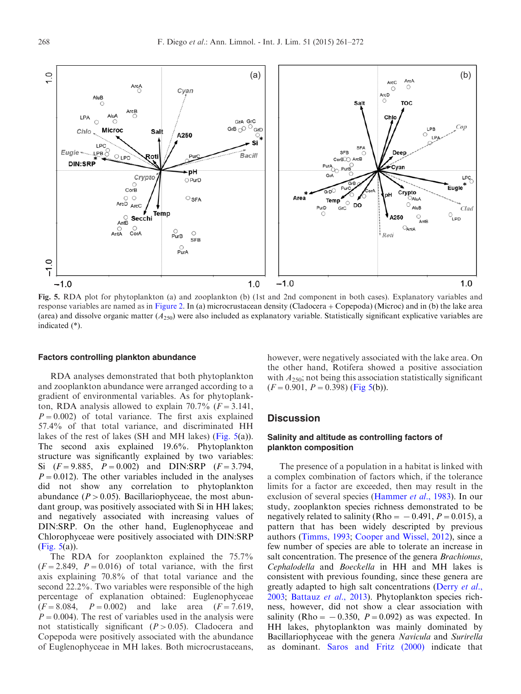

Fig. 5. RDA plot for phytoplankton (a) and zooplankton (b) (1st and 2nd component in both cases). Explanatory variables and response variables are named as in [Figure 2.](#page-3-0) In (a) microcrustacean density (Cladocera+Copepoda) (Microc) and in (b) the lake area (area) and dissolve organic matter  $(A_{250})$  were also included as explanatory variable. Statistically significant explicative variables are indicated (\*).

#### Factors controlling plankton abundance

RDA analyses demonstrated that both phytoplankton and zooplankton abundance were arranged according to a gradient of environmental variables. As for phytoplankton, RDA analysis allowed to explain 70.7% ( $F = 3.141$ ,  $P=0.002$ ) of total variance. The first axis explained 57.4% of that total variance, and discriminated HH lakes of the rest of lakes (SH and MH lakes) (Fig. 5(a)). The second axis explained 19.6%. Phytoplankton structure was significantly explained by two variables: Si  $(F=9.885, P=0.002)$  and DIN:SRP  $(F=3.794,$  $P=0.012$ ). The other variables included in the analyses did not show any correlation to phytoplankton abundance ( $P > 0.05$ ). Bacillariophyceae, the most abundant group, was positively associated with Si in HH lakes; and negatively associated with increasing values of DIN:SRP. On the other hand, Euglenophyceae and Chlorophyceae were positively associated with DIN:SRP (Fig. 5(a)).

The RDA for zooplankton explained the 75.7%  $(F = 2.849, P = 0.016)$  of total variance, with the first axis explaining 70.8% of that total variance and the second 22.2%. Two variables were responsible of the high percentage of explanation obtained: Euglenophyceae  $(F = 8.084, P = 0.002)$  and lake area  $(F = 7.619,$  $P=0.004$ ). The rest of variables used in the analysis were not statistically significant  $(P>0.05)$ . Cladocera and Copepoda were positively associated with the abundance of Euglenophyceae in MH lakes. Both microcrustaceans, however, were negatively associated with the lake area. On the other hand, Rotifera showed a positive association with  $A_{250}$ ; not being this association statistically significant  $(F=0.901, P=0.398)$  (Fig 5(b)).

# **Discussion**

## Salinity and altitude as controlling factors of plankton composition

The presence of a population in a habitat is linked with a complex combination of factors which, if the tolerance limits for a factor are exceeded, then may result in the exclusion of several species ([Hammer](#page-9-0) *et al.*, 1983). In our study, zooplankton species richness demonstrated to be negatively related to salinity (Rho =  $-0.491$ ,  $P = 0.015$ ), a pattern that has been widely descripted by previous authors ([Timms, 1993](#page-10-0); [Cooper and Wissel, 2012](#page-9-0)), since a few number of species are able to tolerate an increase in salt concentration. The presence of the genera *Brachionus*, Cephalodella and Boeckella in HH and MH lakes is consistent with previous founding, since these genera are greatly adapted to high salt concentrations ([Derry](#page-9-0) *et al.*, [2003;](#page-9-0) [Battauz](#page-9-0) et al., 2013). Phytoplankton species richness, however, did not show a clear association with salinity (Rho =  $-0.350$ ,  $P = 0.092$ ) as was expected. In HH lakes, phytoplankton was mainly dominated by Bacillariophyceae with the genera Navicula and Surirella as dominant. [Saros and Fritz \(2000\)](#page-10-0) indicate that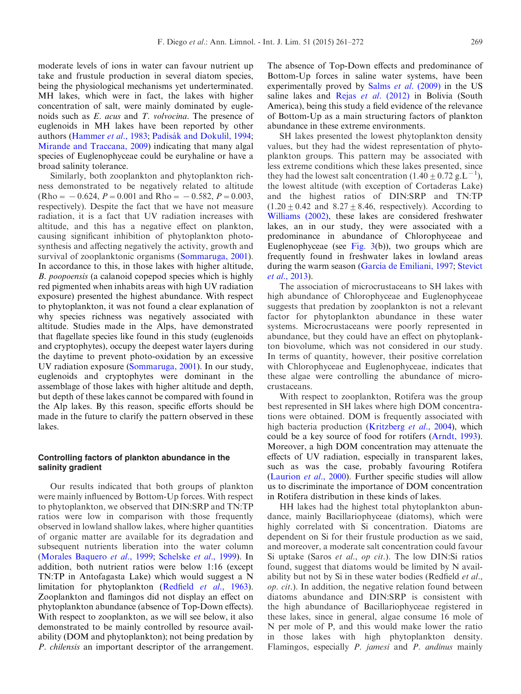moderate levels of ions in water can favour nutrient up take and frustule production in several diatom species, being the physiological mechanisms yet underterminated. MH lakes, which were in fact, the lakes with higher concentration of salt, were mainly dominated by euglenoids such as E. acus and T. volvocina. The presence of euglenoids in MH lakes have been reported by other authors [\(Hammer](#page-9-0) et al., 1983; Padisák and Dokulil, 1994; [Mirande and Traccana, 2009](#page-10-0)) indicating that many algal species of Euglenophyceae could be euryhaline or have a broad salinity tolerance.

Similarly, both zooplankton and phytoplankton richness demonstrated to be negatively related to altitude  $(Rho = -0.624, P = 0.001$  and Rho =  $-0.582, P = 0.003$ , respectively). Despite the fact that we have not measure radiation, it is a fact that UV radiation increases with altitude, and this has a negative effect on plankton, causing significant inhibition of phytoplankton photosynthesis and affecting negatively the activity, growth and survival of zooplanktonic organisms [\(Sommaruga, 2001\)](#page-10-0). In accordance to this, in those lakes with higher altitude, B. poopoensis (a calanoid copepod species which is highly red pigmented when inhabits areas with high UV radiation exposure) presented the highest abundance. With respect to phytoplankton, it was not found a clear explanation of why species richness was negatively associated with altitude. Studies made in the Alps, have demonstrated that flagellate species like found in this study (euglenoids and cryptophytes), occupy the deepest water layers during the daytime to prevent photo-oxidation by an excessive UV radiation exposure ([Sommaruga, 2001](#page-10-0)). In our study, euglenoids and cryptophytes were dominant in the assemblage of those lakes with higher altitude and depth, but depth of these lakes cannot be compared with found in the Alp lakes. By this reason, specific efforts should be made in the future to clarify the pattern observed in these lakes.

# Controlling factors of plankton abundance in the salinity gradient

Our results indicated that both groups of plankton were mainly influenced by Bottom-Up forces. With respect to phytoplankton, we observed that DIN:SRP and TN:TP ratios were low in comparison with those frequently observed in lowland shallow lakes, where higher quantities of organic matter are available for its degradation and subsequent nutrients liberation into the water column ([Morales Baquero](#page-10-0) et al., 1999; [Schelske](#page-10-0) et al., 1999). In addition, both nutrient ratios were below 1:16 (except TN:TP in Antofagasta Lake) which would suggest a N limitation for phytoplankton ([Redfield](#page-10-0) *et al.*, 1963). Zooplankton and flamingos did not display an effect on phytoplankton abundance (absence of Top-Down effects). With respect to zooplankton, as we will see below, it also demonstrated to be mainly controlled by resource availability (DOM and phytoplankton); not being predation by P. chilensis an important descriptor of the arrangement.

The absence of Top-Down effects and predominance of Bottom-Up forces in saline water systems, have been experimentally proved by Salms et al[. \(2009\)](#page-10-0) in the US saline lakes and Rejas et al[. \(2012\)](#page-10-0) in Bolivia (South America), being this study a field evidence of the relevance of Bottom-Up as a main structuring factors of plankton abundance in these extreme environments.

SH lakes presented the lowest phytoplankton density values, but they had the widest representation of phytoplankton groups. This pattern may be associated with less extreme conditions which these lakes presented, since they had the lowest salt concentration  $(1.40 \pm 0.72 \text{ g.L}^{-1})$ , the lowest altitude (with exception of Cortaderas Lake) and the highest ratios of DIN:SRP and TN:TP  $(1.20 \pm 0.42$  and  $8.27 \pm 8.46$ , respectively). According to [Williams \(2002\)](#page-11-0), these lakes are considered freshwater lakes, an in our study, they were associated with a predominance in abundance of Chlorophyceae and Euglenophyceae (see [Fig. 3\(](#page-5-0)b)), two groups which are frequently found in freshwater lakes in lowland areas during the warm season (García de Emiliani, 1997; [Stevict](#page-10-0) et al[., 2013\)](#page-10-0).

The association of microcrustaceans to SH lakes with high abundance of Chlorophyceae and Euglenophyceae suggests that predation by zooplankton is not a relevant factor for phytoplankton abundance in these water systems. Microcrustaceans were poorly represented in abundance, but they could have an effect on phytoplankton biovolume, which was not considered in our study. In terms of quantity, however, their positive correlation with Chlorophyceae and Euglenophyceae, indicates that these algae were controlling the abundance of microcrustaceans.

With respect to zooplankton, Rotifera was the group best represented in SH lakes where high DOM concentrations were obtained. DOM is frequently associated with high bacteria production ([Kritzberg](#page-10-0) et al., 2004), which could be a key source of food for rotifers ([Arndt, 1993\)](#page-9-0). Moreover, a high DOM concentration may attenuate the effects of UV radiation, especially in transparent lakes, such as was the case, probably favouring Rotifera ([Laurion](#page-10-0) et al., 2000). Further specific studies will allow us to discriminate the importance of DOM concentration in Rotifera distribution in these kinds of lakes.

HH lakes had the highest total phytoplankton abundance, mainly Bacillariophyceae (diatoms), which were highly correlated with Si concentration. Diatoms are dependent on Si for their frustule production as we said, and moreover, a moderate salt concentration could favour Si uptake (Saros et al., op cit.). The low DIN:Si ratios found, suggest that diatoms would be limited by N availability but not by Si in these water bodies (Redfield et al., op. cit.). In addition, the negative relation found between diatoms abundance and DIN:SRP is consistent with the high abundance of Bacillariophyceae registered in these lakes, since in general, algae consume 16 mole of N per mole of P, and this would make lower the ratio in those lakes with high phytoplankton density. Flamingos, especially P. jamesi and P. andinus mainly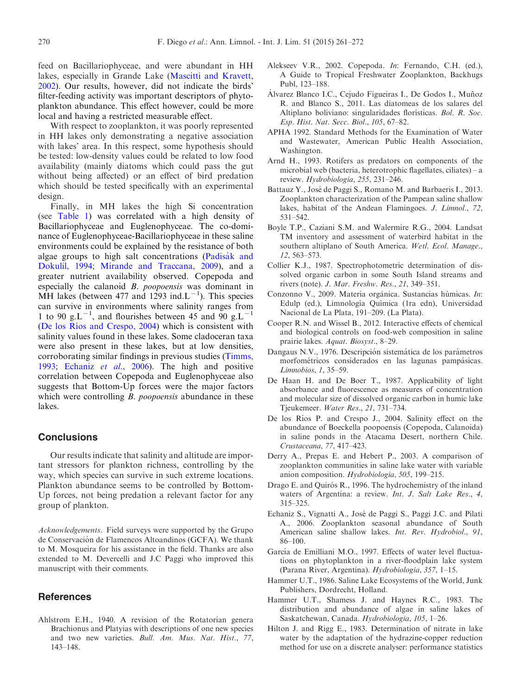<span id="page-9-0"></span>feed on Bacillariophyceae, and were abundant in HH lakes, especially in Grande Lake ([Mascitti and Kravett,](#page-10-0) [2002](#page-10-0)). Our results, however, did not indicate the birds' filter-feeding activity was important descriptors of phytoplankton abundance. This effect however, could be more local and having a restricted measurable effect.

With respect to zooplankton, it was poorly represented in HH lakes only demonstrating a negative association with lakes' area. In this respect, some hypothesis should be tested: low-density values could be related to low food availability (mainly diatoms which could pass the gut without being affected) or an effect of bird predation which should be tested specifically with an experimental design.

Finally, in MH lakes the high Si concentration (see [Table 1](#page-4-0)) was correlated with a high density of Bacillariophyceae and Euglenophyceae. The co-dominance of Euglenophyceae-Bacillariophyceae in these saline environments could be explained by the resistance of both algae groups to high salt concentrations (Padisák and [Dokulil, 1994;](#page-10-0) [Mirande and Traccana, 2009\)](#page-10-0), and a greater nutrient availability observed. Copepoda and especially the calanoid B. poopoensis was dominant in MH lakes (between 477 and 1293 ind. $L^{-1}$ ). This species can survive in environments where salinity ranges from 1 to 90 g.L<sup>-1</sup>, and flourishes between 45 and 90 g.L<sup>-1</sup> (De los Ríos and Crespo, 2004) which is consistent with salinity values found in these lakes. Some cladoceran taxa were also present in these lakes, but at low densities, corroborating similar findings in previous studies [\(Timms,](#page-10-0) [1993](#page-10-0); Echaniz et al., 2006). The high and positive correlation between Copepoda and Euglenophyceae also suggests that Bottom-Up forces were the major factors which were controlling *B. poopoensis* abundance in these lakes.

# **Conclusions**

Our results indicate that salinity and altitude are important stressors for plankton richness, controlling by the way, which species can survive in such extreme locations. Plankton abundance seems to be controlled by Bottom-Up forces, not being predation a relevant factor for any group of plankton.

Acknowledgements. Field surveys were supported by the Grupo de Conservación de Flamencos Altoandinos (GCFA). We thank to M. Mosqueira for his assistance in the field. Thanks are also extended to M. Devercelli and J.C Paggi who improved this manuscript with their comments.

# **References**

Ahlstrom E.H., 1940. A revision of the Rotatorian genera Brachionus and Platyias with descriptions of one new species and two new varieties. Bull. Am. Mus. Nat. Hist., 77, 143–148.

- Alekseev V.R., 2002. Copepoda. In: Fernando, C.H. (ed.), A Guide to Tropical Freshwater Zooplankton, Backhugs Publ, 123–188.
- Alvarez Blanco I.C., Cejudo Figueiras I., De Godos I., Muñoz R. and Blanco S., 2011. Las diatomeas de los salares del Altiplano boliviano: singularidades florísticas. Bol. R. Soc. Esp. Hist. Nat. Secc. Biol., 105, 67–82.
- APHA 1992. Standard Methods for the Examination of Water and Wastewater, American Public Health Association, Washington.
- Arnd H., 1993. Rotifers as predators on components of the microbial web (bacteria, heterotrophic flagellates, ciliates) – a review. Hydrobiologia, 255, 231–246.
- Battauz Y., José de Paggi S., Romano M. and Barbaeris I., 2013. Zooplankton characterization of the Pampean saline shallow lakes, habitat of the Andean Flamingoes. *J. Limnol.*, 72, 531–542.
- Boyle T.P., Caziani S.M. and Walermire R.G., 2004. Landsat TM inventory and assessment of waterbird habitat in the southern altiplano of South America. Wetl. Ecol. Manage., 12, 563–573.
- Collier K.J., 1987. Spectrophotometric determination of dissolved organic carbon in some South Island streams and rivers (note). J. Mar. Freshw. Res., 21, 349–351.
- Conzonno V., 2009. Materia orgánica. Sustancias húmicas. In: Edulp (ed.), Limnología Química (1ra edn), Universidad Nacional de La Plata, 191–209. (La Plata).
- Cooper R.N. and Wissel B., 2012. Interactive effects of chemical and biological controls on food-web composition in saline prairie lakes. Aquat. Biosyst., 8–29.
- Dangaus N.V., 1976. Descripción sistemática de los parámetros morfométricos considerados en las lagunas pampásicas. Limnobios, 1, 35–59.
- De Haan H. and De Boer T., 1987. Applicability of light absorbance and fluorescence as measures of concentration and molecular size of dissolved organic carbon in humic lake Tjeukemeer. Water Res., 21, 731–734.
- De los Ríos P. and Crespo J., 2004. Salinity effect on the abundance of Boeckella poopoensis (Copepoda, Calanoida) in saline ponds in the Atacama Desert, northern Chile. Crustaceana, 77, 417–423.
- Derry A., Prepas E. and Hebert P., 2003. A comparison of zooplankton communities in saline lake water with variable anion composition. Hydrobiologia, 505, 199–215.
- Drago E. and Quirós R., 1996. The hydrochemistry of the inland waters of Argentina: a review. Int. J. Salt Lake Res., 4, 315–325.
- Echaniz S., Vignatti A., Jose´ de Paggi S., Paggi J.C. and Pilati A., 2006. Zooplankton seasonal abundance of South American saline shallow lakes. Int. Rev. Hydrobiol., 91, 86–100.
- García de Emilliani M.O., 1997. Effects of water level fluctuations on phytoplankton in a river-floodplain lake system (Parana River, Argentina). Hydrobiologia, 357, 1–15.
- Hammer U.T., 1986. Saline Lake Ecosystems of the World, Junk Publishers, Dordrecht, Holland.
- Hammer U.T., Shamess J. and Haynes R.C., 1983. The distribution and abundance of algae in saline lakes of Saskatchewan, Canada. Hydrobiologia, 105, 1–26.
- Hilton J. and Rigg E., 1983. Determination of nitrate in lake water by the adaptation of the hydrazine-copper reduction method for use on a discrete analyser: performance statistics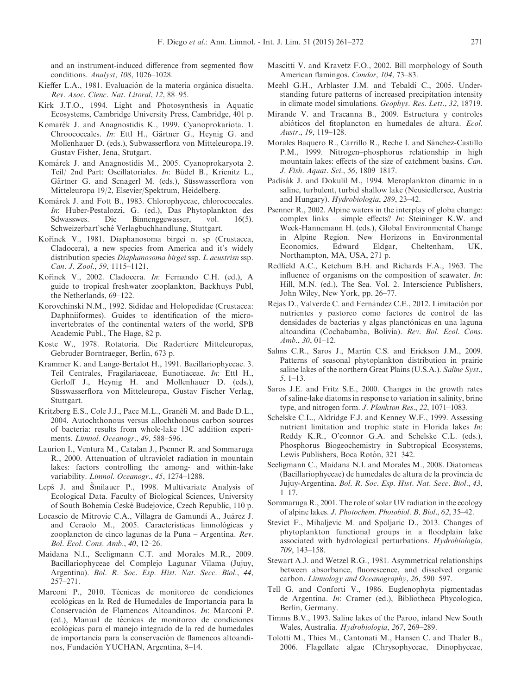<span id="page-10-0"></span>and an instrument-induced difference from segmented flow conditions. Analyst, 108, 1026–1028.

- Kieffer L.A., 1981. Evaluación de la materia orgánica disuelta. Rev. Asoc. Cienc. Nat. Litoral, 12, 88–95.
- Kirk J.T.O., 1994. Light and Photosynthesis in Aquatic Ecosystems, Cambridge University Press, Cambridge, 401 p.
- Komarék J. and Anagnostidis K., 1999. Cyanoprokariota. 1. Chroococcales. In: Ettl H., Gärtner G., Heynig G. and Mollenhauer D. (eds.), Subwasserflora von Mitteleuropa.19. Gustav Fisher, Jena, Stutgart.
- Komárek J. and Anagnostidis M., 2005. Cyanoprokaryota 2. Teil/ 2nd Part: Oscillatoriales. In: Büdel B., Krienitz L., Gärtner G. and Scnagerl M. (eds.), Süsswasserflora von Mitteleuropa 19/2, Elsevier/Spektrum, Heidelberg.
- Komárek J. and Fott B., 1983. Chlorophyceae, chlorococcales. In: Huber-Pestalozzi, G. (ed.), Das Phytoplankton des Sdwasswes. Die Binnenggewasser, vol. 16(5). Schweizerbart'sche´ Verlagbuchhandlung, Stuttgart.
- Kořínek V., 1981. Diaphanosoma birgei n. sp (Crustacea, Cladocera), a new species from America and it's widely distribution species Diaphanosoma birgei ssp. L acustrisn ssp. Can. J. Zool., 59, 1115–1121.
- Kořínek V., 2002. Cladocera. In: Fernando C.H. (ed.), A guide to tropical freshwater zooplankton, Backhuys Publ, the Netherlands, 69–122.
- Korovchinski N.M., 1992. Sididae and Holopedidae (Crustacea: Daphniiformes). Guides to identification of the microinvertebrates of the continental waters of the world, SPB Academic Publ., The Hage, 82 p.
- Koste W., 1978. Rotatoria. Die Radertiere Mitteleuropas, Gebruder Borntraeger, Berlin, 673 p.
- Krammer K. and Lange-Bertalot H., 1991. Bacillariophyceae. 3. Teil Centrales, Fragilariaceae, Eunotiaceae. In: Ettl H., Gerloff J., Heynig H. and Mollenhauer D. (eds.), Süsswasserflora von Mitteleuropa, Gustav Fischer Verlag, Stuttgart.
- Kritzberg E.S., Cole J.J., Pace M.L., Granéli M. and Bade D.L., 2004. Autochthonous versus allochthonous carbon sources of bacteria: results from whole-lake 13C addition experiments. Limnol. Oceanogr., 49, 588–596.
- Laurion I., Ventura M., Catalan J., Psenner R. and Sommaruga R., 2000. Attenuation of ultraviolet radiation in mountain lakes: factors controlling the among- and within-lake variability. Limnol. Oceanogr., 45, 1274–1288.
- Lepš J. and Šmilauer P., 1998. Multivariate Analysis of Ecological Data. Faculty of Biological Sciences, University of South Bohemia Ceske´ Budejovice, Czech Republic, 110 p.
- Locascio de Mitrovic C.A., Villagra de Gamundi A., Juárez J. and Ceraolo M., 2005. Características limnológicas y zooplancton de cinco lagunas de la Puna – Argentina. Rev. Bol. Ecol. Cons. Amb., 40, 12–26.
- Maidana N.I., Seeligmann C.T. and Morales M.R., 2009. Bacillariophyceae del Complejo Lagunar Vilama (Jujuy, Argentina). Bol. R. Soc. Esp. Hist. Nat. Secc. Biol., 44, 257–271.
- Marconi P., 2010. Técnicas de monitoreo de condiciones ecológicas en la Red de Humedales de Importancia para la Conservación de Flamencos Altoandinos. In: Marconi P. (ed.), Manual de técnicas de monitoreo de condiciones ecológicas para el manejo integrado de la red de humedales de importancia para la conservación de flamencos altoandinos, Fundación YUCHAN, Argentina, 8-14.
- Mascitti V. and Kravetz F.O., 2002. Bill morphology of South American flamingos. Condor, 104, 73–83.
- Meehl G.H., Arblaster J.M. and Tebaldi C., 2005. Understanding future patterns of increased precipitation intensity in climate model simulations. Geophys. Res. Lett., 32, 18719.
- Mirande V. and Tracanna B., 2009. Estructura y controles abióticos del fitoplancton en humedales de altura. Ecol. Austr., 19, 119–128.
- Morales Baquero R., Carrillo R., Reche I. and Sánchez-Castillo P.M., 1999. Nitrogen–phosphorus relationship in high mountain lakes: effects of the size of catchment basins. Can. J. Fish. Aquat. Sci., 56, 1809–1817.
- Padisák J. and Dokulil M., 1994. Meroplankton dinamic in a saline, turbulent, turbid shallow lake (Neusiedlersee, Austria and Hungary). Hydrobiologia, 289, 23–42.
- Psenner R., 2002. Alpine waters in the interplay of globa change: complex links – simple effects? In: Steininger K.W. and Weck-Hannemann H. (eds.), Global Environmental Change in Alpine Region. New Horizons in Environmental Economics, Edward Eldgar, Cheltenham, UK, Northampton, MA, USA, 271 p.
- Redfield A.C., Ketchum B.H. and Richards F.A., 1963. The influence of organisms on the composition of seawater. In: Hill, M.N. (ed.), The Sea. Vol. 2. Interscience Publishers, John Wiley, New York, pp. 26–77.
- Rejas D., Valverde C. and Fernández C.E., 2012. Limitación por nutrientes y pastoreo como factores de control de las densidades de bacterias y algas planctónicas en una laguna altoandina (Cochabamba, Bolivia). Rev. Bol. Ecol. Cons. Amb., 30, 01–12.
- Salms C.R., Saros J., Martin C.S. and Erickson J.M., 2009. Patterns of seasonal phytoplankton distribution in prairie saline lakes of the northern Great Plains (U.S.A.). Saline Syst., 5, 1–13.
- Saros J.E. and Fritz S.E., 2000. Changes in the growth rates of saline-lake diatoms in response to variation in salinity, brine type, and nitrogen form. J. Plankton Res., 22, 1071–1083.
- Schelske C.L., Aldridge F.J. and Kenney W.F., 1999. Assessing nutrient limitation and trophic state in Florida lakes In: Reddy K.R., O'connor G.A. and Schelske C.L. (eds.), Phosphorus Biogeochemistry in Subtropical Ecosystems, Lewis Publishers, Boca Rotón, 321–342.
- Seeligmann C., Maidana N.I. and Morales M., 2008. Diatomeas (Bacillariophyceae) de humedales de altura de la provincia de Jujuy-Argentina. Bol. R. Soc. Esp. Hist. Nat. Secc. Biol., 43,  $1 - 17$ .
- Sommaruga R., 2001. The role of solar UV radiation in the ecology of alpine lakes. J. Photochem. Photobiol. B, Biol., 62, 35–42.
- Stevict F., Mihaljevic M. and Spoljaric D., 2013. Changes of phytoplankton functional groups in a floodplain lake associated with hydrological perturbations. Hydrobiologia, 709, 143–158.
- Stewart A.J. and Wetzel R.G., 1981. Asymmetrical relationships between absorbance, fluorescence, and dissolved organic carbon. Limnology and Oceanography, 26, 590–597.
- Tell G. and Conforti V., 1986. Euglenophyta pigmentadas de Argentina. In: Cramer (ed.), Bibliotheca Phycologica, Berlin, Germany.
- Timms B.V., 1993. Saline lakes of the Paroo, inland New South Wales, Australia. Hydrobiologia, 267, 269–289.
- Tolotti M., Thies M., Cantonati M., Hansen C. and Thaler B., 2006. Flagellate algae (Chrysophyceae, Dinophyceae,